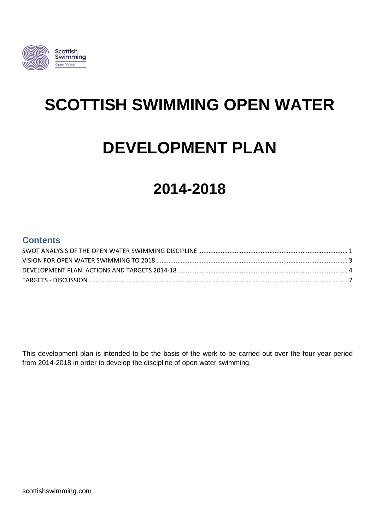

# **SCOTTISH SWIMMING OPEN WATER**

# **DEVELOPMENT PLAN**

# **2014-2018**

## **Contents**

This development plan is intended to be the basis of the work to be carried out over the four year period from 2014-2018 in order to develop the discipline of open water swimming.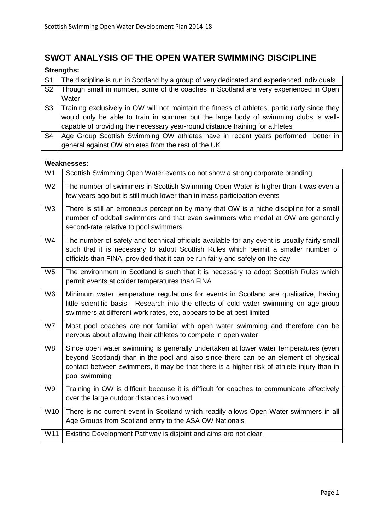# <span id="page-1-0"></span>**SWOT ANALYSIS OF THE OPEN WATER SWIMMING DISCIPLINE**

### **Strengths:**

| S <sub>1</sub> | The discipline is run in Scotland by a group of very dedicated and experienced individuals    |  |  |  |  |  |  |  |
|----------------|-----------------------------------------------------------------------------------------------|--|--|--|--|--|--|--|
| S <sub>2</sub> | Though small in number, some of the coaches in Scotland are very experienced in Open          |  |  |  |  |  |  |  |
|                | Water                                                                                         |  |  |  |  |  |  |  |
| S3             | Training exclusively in OW will not maintain the fitness of athletes, particularly since they |  |  |  |  |  |  |  |
|                | would only be able to train in summer but the large body of swimming clubs is well-           |  |  |  |  |  |  |  |
|                | capable of providing the necessary year-round distance training for athletes                  |  |  |  |  |  |  |  |
| S <sub>4</sub> | Age Group Scottish Swimming OW athletes have in recent years performed better in              |  |  |  |  |  |  |  |
|                | general against OW athletes from the rest of the UK                                           |  |  |  |  |  |  |  |

#### **Weaknesses:**

| W <sub>1</sub> | Scottish Swimming Open Water events do not show a strong corporate branding                                                                                                                                                                                                               |
|----------------|-------------------------------------------------------------------------------------------------------------------------------------------------------------------------------------------------------------------------------------------------------------------------------------------|
| W <sub>2</sub> | The number of swimmers in Scottish Swimming Open Water is higher than it was even a<br>few years ago but is still much lower than in mass participation events                                                                                                                            |
| W <sub>3</sub> | There is still an erroneous perception by many that OW is a niche discipline for a small<br>number of oddball swimmers and that even swimmers who medal at OW are generally<br>second-rate relative to pool swimmers                                                                      |
| W4             | The number of safety and technical officials available for any event is usually fairly small<br>such that it is necessary to adopt Scottish Rules which permit a smaller number of<br>officials than FINA, provided that it can be run fairly and safely on the day                       |
| W <sub>5</sub> | The environment in Scotland is such that it is necessary to adopt Scottish Rules which<br>permit events at colder temperatures than FINA                                                                                                                                                  |
| W <sub>6</sub> | Minimum water temperature regulations for events in Scotland are qualitative, having<br>little scientific basis. Research into the effects of cold water swimming on age-group<br>swimmers at different work rates, etc, appears to be at best limited                                    |
| W7             | Most pool coaches are not familiar with open water swimming and therefore can be<br>nervous about allowing their athletes to compete in open water                                                                                                                                        |
| W <sub>8</sub> | Since open water swimming is generally undertaken at lower water temperatures (even<br>beyond Scotland) than in the pool and also since there can be an element of physical<br>contact between swimmers, it may be that there is a higher risk of athlete injury than in<br>pool swimming |
| W9             | Training in OW is difficult because it is difficult for coaches to communicate effectively<br>over the large outdoor distances involved                                                                                                                                                   |
| W10            | There is no current event in Scotland which readily allows Open Water swimmers in all<br>Age Groups from Scotland entry to the ASA OW Nationals                                                                                                                                           |
| W11            | Existing Development Pathway is disjoint and aims are not clear.                                                                                                                                                                                                                          |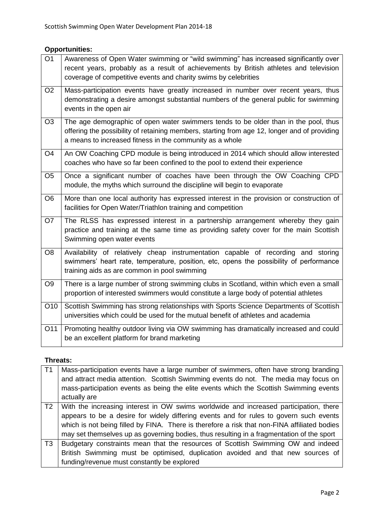#### **Opportunities:**

| $\overline{O1}$ | Awareness of Open Water swimming or "wild swimming" has increased significantly over<br>recent years, probably as a result of achievements by British athletes and television<br>coverage of competitive events and charity swims by celebrities |
|-----------------|--------------------------------------------------------------------------------------------------------------------------------------------------------------------------------------------------------------------------------------------------|
| O <sub>2</sub>  | Mass-participation events have greatly increased in number over recent years, thus<br>demonstrating a desire amongst substantial numbers of the general public for swimming<br>events in the open air                                            |
| O <sub>3</sub>  | The age demographic of open water swimmers tends to be older than in the pool, thus<br>offering the possibility of retaining members, starting from age 12, longer and of providing<br>a means to increased fitness in the community as a whole  |
| O <sub>4</sub>  | An OW Coaching CPD module is being introduced in 2014 which should allow interested<br>coaches who have so far been confined to the pool to extend their experience                                                                              |
| O <sub>5</sub>  | Once a significant number of coaches have been through the OW Coaching CPD<br>module, the myths which surround the discipline will begin to evaporate                                                                                            |
| O <sub>6</sub>  | More than one local authority has expressed interest in the provision or construction of<br>facilities for Open Water/Triathlon training and competition                                                                                         |
| O <sub>7</sub>  | The RLSS has expressed interest in a partnership arrangement whereby they gain<br>practice and training at the same time as providing safety cover for the main Scottish<br>Swimming open water events                                           |
| O <sub>8</sub>  | Availability of relatively cheap instrumentation capable of recording and storing<br>swimmers' heart rate, temperature, position, etc, opens the possibility of performance<br>training aids as are common in pool swimming                      |
| O <sub>9</sub>  | There is a large number of strong swimming clubs in Scotland, within which even a small<br>proportion of interested swimmers would constitute a large body of potential athletes                                                                 |
| O10             | Scottish Swimming has strong relationships with Sports Science Departments of Scottish<br>universities which could be used for the mutual benefit of athletes and academia                                                                       |
| O11             | Promoting healthy outdoor living via OW swimming has dramatically increased and could<br>be an excellent platform for brand marketing                                                                                                            |

#### **Threats:**

| TT1               | Mass-participation events have a large number of swimmers, often have strong branding<br>and attract media attention. Scottish Swimming events do not. The media may focus on<br>mass-participation events as being the elite events which the Scottish Swimming events<br>actually are |  |  |  |  |  |  |  |  |
|-------------------|-----------------------------------------------------------------------------------------------------------------------------------------------------------------------------------------------------------------------------------------------------------------------------------------|--|--|--|--|--|--|--|--|
| $\overline{1}$ T2 | With the increasing interest in OW swims worldwide and increased participation, there<br>appears to be a desire for widely differing events and for rules to govern such events<br>which is not being filled by FINA. There is therefore a risk that non-FINA affiliated bodies         |  |  |  |  |  |  |  |  |
|                   | may set themselves up as governing bodies, thus resulting in a fragmentation of the sport                                                                                                                                                                                               |  |  |  |  |  |  |  |  |
| T3                | Budgetary constraints mean that the resources of Scottish Swimming OW and indeed                                                                                                                                                                                                        |  |  |  |  |  |  |  |  |
|                   | British Swimming must be optimised, duplication avoided and that new sources of                                                                                                                                                                                                         |  |  |  |  |  |  |  |  |
|                   | funding/revenue must constantly be explored                                                                                                                                                                                                                                             |  |  |  |  |  |  |  |  |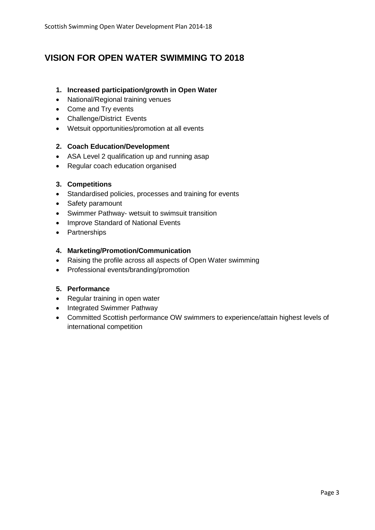## <span id="page-3-0"></span>**VISION FOR OPEN WATER SWIMMING TO 2018**

#### **1. Increased participation/growth in Open Water**

- National/Regional training venues
- Come and Try events
- Challenge/District Events
- Wetsuit opportunities/promotion at all events

#### **2. Coach Education/Development**

- ASA Level 2 qualification up and running asap
- Regular coach education organised

#### **3. Competitions**

- Standardised policies, processes and training for events
- Safety paramount
- Swimmer Pathway- wetsuit to swimsuit transition
- Improve Standard of National Events
- Partnerships

#### **4. Marketing/Promotion/Communication**

- Raising the profile across all aspects of Open Water swimming
- Professional events/branding/promotion

#### **5. Performance**

- Regular training in open water
- Integrated Swimmer Pathway
- Committed Scottish performance OW swimmers to experience/attain highest levels of international competition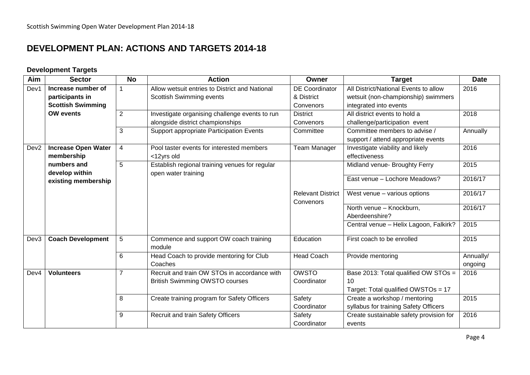## **DEVELOPMENT PLAN: ACTIONS AND TARGETS 2014-18**

### **Development Targets**

<span id="page-4-0"></span>

| Aim              | <b>Sector</b>              | <b>No</b>      | <b>Action</b>                                  | Owner                    | <b>Target</b>                           | <b>Date</b> |
|------------------|----------------------------|----------------|------------------------------------------------|--------------------------|-----------------------------------------|-------------|
| Dev1             | Increase number of         | 1              | Allow wetsuit entries to District and National | <b>DE Coordinator</b>    | All District/National Events to allow   | 2016        |
|                  | participants in            |                | Scottish Swimming events                       | & District               | wetsuit (non-championship) swimmers     |             |
|                  | <b>Scottish Swimming</b>   |                |                                                | Convenors                | integrated into events                  |             |
|                  | <b>OW</b> events           | $\overline{2}$ | Investigate organising challenge events to run | <b>District</b>          | All district events to hold a           | 2018        |
|                  |                            |                | alongside district championships               | Convenors                | challenge/participation event           |             |
|                  |                            | 3              | Support appropriate Participation Events       | Committee                | Committee members to advise /           | Annually    |
|                  |                            |                |                                                |                          | support / attend appropriate events     |             |
| Dev <sub>2</sub> | <b>Increase Open Water</b> | 4              | Pool taster events for interested members      | Team Manager             | Investigate viability and likely        | 2016        |
|                  | membership                 |                | <12yrs old                                     |                          | effectiveness                           |             |
|                  | numbers and                | 5              | Establish regional training venues for regular |                          | Midland venue- Broughty Ferry           | 2015        |
|                  | develop within             |                | open water training                            |                          | East venue - Lochore Meadows?           | 2016/17     |
|                  | existing membership        |                |                                                |                          |                                         |             |
|                  |                            |                |                                                | <b>Relevant District</b> | West venue - various options            | 2016/17     |
|                  |                            |                |                                                | Convenors                |                                         |             |
|                  |                            |                |                                                |                          | North venue - Knockburn,                | 2016/17     |
|                  |                            |                |                                                |                          | Aberdeenshire?                          |             |
|                  |                            |                |                                                |                          | Central venue - Helix Lagoon, Falkirk?  | 2015        |
| Dev <sub>3</sub> | <b>Coach Development</b>   | 5              | Commence and support OW coach training         | Education                | First coach to be enrolled              | 2015        |
|                  |                            |                | module                                         |                          |                                         |             |
|                  |                            | 6              | Head Coach to provide mentoring for Club       | <b>Head Coach</b>        | Provide mentoring                       | Annually/   |
|                  |                            |                | Coaches                                        |                          |                                         | ongoing     |
| Dev4             | <b>Volunteers</b>          | $\overline{7}$ | Recruit and train OW STOs in accordance with   | <b>OWSTO</b>             | Base 2013: Total qualified OW STOs =    | 2016        |
|                  |                            |                | <b>British Swimming OWSTO courses</b>          | Coordinator              | 10                                      |             |
|                  |                            |                |                                                |                          | Target: Total qualified OWSTOs = 17     |             |
|                  |                            | 8              | Create training program for Safety Officers    | Safety                   | Create a workshop / mentoring           | 2015        |
|                  |                            |                |                                                | Coordinator              | syllabus for training Safety Officers   |             |
|                  |                            | 9              | Recruit and train Safety Officers              | Safety                   | Create sustainable safety provision for | 2016        |
|                  |                            |                |                                                | Coordinator              | events                                  |             |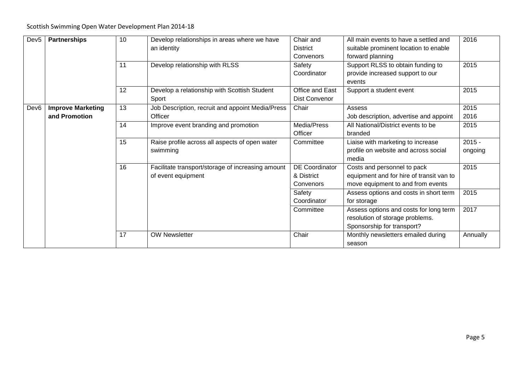#### Scottish Swimming Open Water Development Plan 2014-18

| Dev <sub>5</sub> | <b>Partnerships</b>      | 10<br>11 | Develop relationships in areas where we have<br>an identity<br>Develop relationship with RLSS | Chair and<br><b>District</b><br>Convenors<br>Safety<br>Coordinator | All main events to have a settled and<br>suitable prominent location to enable<br>forward planning<br>Support RLSS to obtain funding to<br>provide increased support to our<br>events | 2016<br>2015        |
|------------------|--------------------------|----------|-----------------------------------------------------------------------------------------------|--------------------------------------------------------------------|---------------------------------------------------------------------------------------------------------------------------------------------------------------------------------------|---------------------|
|                  |                          | 12       | Develop a relationship with Scottish Student<br>Sport                                         | Office and East<br><b>Dist Convenor</b>                            | Support a student event                                                                                                                                                               | 2015                |
| Dev <sub>6</sub> | <b>Improve Marketing</b> | 13       | Job Description, recruit and appoint Media/Press                                              | Chair                                                              | Assess                                                                                                                                                                                | 2015                |
|                  | and Promotion            |          | Officer                                                                                       |                                                                    | Job description, advertise and appoint                                                                                                                                                | 2016                |
|                  |                          | 14       | Improve event branding and promotion                                                          | Media/Press<br>Officer                                             | All National/District events to be<br>branded                                                                                                                                         | 2015                |
|                  |                          | 15       | Raise profile across all aspects of open water<br>swimming                                    | Committee                                                          | Liaise with marketing to increase<br>profile on website and across social<br>media                                                                                                    | $2015 -$<br>ongoing |
|                  |                          | 16       | Facilitate transport/storage of increasing amount<br>of event equipment                       | <b>DE Coordinator</b><br>& District<br>Convenors                   | Costs and personnel to pack<br>equipment and for hire of transit van to<br>move equipment to and from events                                                                          | 2015                |
|                  |                          |          |                                                                                               | Safety<br>Coordinator                                              | Assess options and costs in short term<br>for storage                                                                                                                                 | 2015                |
|                  |                          |          |                                                                                               | Committee                                                          | Assess options and costs for long term<br>resolution of storage problems.<br>Sponsorship for transport?                                                                               | 2017                |
|                  |                          | 17       | <b>OW Newsletter</b>                                                                          | Chair                                                              | Monthly newsletters emailed during<br>season                                                                                                                                          | Annually            |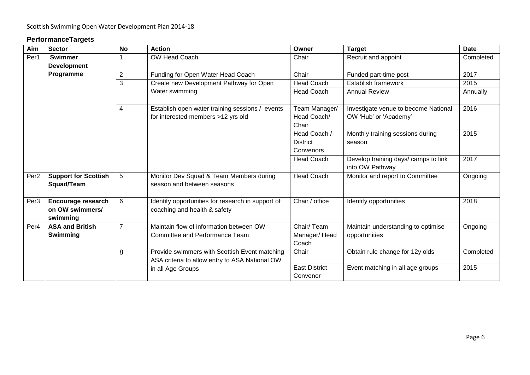### **PerformanceTargets**

| Aim              | <b>Sector</b>                                     | <b>No</b>      | <b>Action</b>                                                                                   | Owner                                        | <b>Target</b>                                                 | <b>Date</b>                      |
|------------------|---------------------------------------------------|----------------|-------------------------------------------------------------------------------------------------|----------------------------------------------|---------------------------------------------------------------|----------------------------------|
| Per1             | <b>Swimmer</b>                                    |                | OW Head Coach                                                                                   | Chair                                        | Recruit and appoint                                           | Completed                        |
|                  | <b>Development</b>                                |                |                                                                                                 |                                              |                                                               |                                  |
|                  | Programme                                         | 2              | Funding for Open Water Head Coach                                                               | Chair                                        | Funded part-time post                                         | 2017                             |
|                  |                                                   | 3              | Create new Development Pathway for Open                                                         | <b>Head Coach</b>                            | Establish framework                                           | 2015                             |
|                  |                                                   |                | Water swimming                                                                                  | <b>Head Coach</b>                            | <b>Annual Review</b>                                          | Annually                         |
|                  |                                                   | 4              | Establish open water training sessions / events<br>for interested members >12 yrs old           | Team Manager/<br>Head Coach/<br>Chair        | Investigate venue to become National<br>OW 'Hub' or 'Academy' | 2016                             |
|                  |                                                   |                |                                                                                                 | Head Coach /<br><b>District</b><br>Convenors | Monthly training sessions during<br>season                    | 2015                             |
|                  |                                                   |                |                                                                                                 | <b>Head Coach</b>                            | Develop training days/ camps to link<br>into OW Pathway       | 2017                             |
| Per <sub>2</sub> | <b>Support for Scottish</b><br>Squad/Team         | 5              | Monitor Dev Squad & Team Members during<br>season and between seasons                           | <b>Head Coach</b>                            | Monitor and report to Committee                               | Ongoing                          |
| Per <sub>3</sub> | Encourage research<br>on OW swimmers/<br>swimming | 6              | Identify opportunities for research in support of<br>coaching and health & safety               | Chair / office                               | Identify opportunities                                        | 2018                             |
| Per <sub>4</sub> | <b>ASA and British</b><br>Swimming                | $\overline{7}$ | Maintain flow of information between OW<br>Committee and Performance Team                       | Chair/Team<br>Manager/Head<br>Coach          | Maintain understanding to optimise<br>opportunities           | Ongoing                          |
|                  |                                                   | 8              | Provide swimmers with Scottish Event matching<br>ASA criteria to allow entry to ASA National OW | Chair                                        | Obtain rule change for 12y olds                               | Completed                        |
|                  |                                                   |                |                                                                                                 | in all Age Groups                            | <b>East District</b><br>Convenor                              | Event matching in all age groups |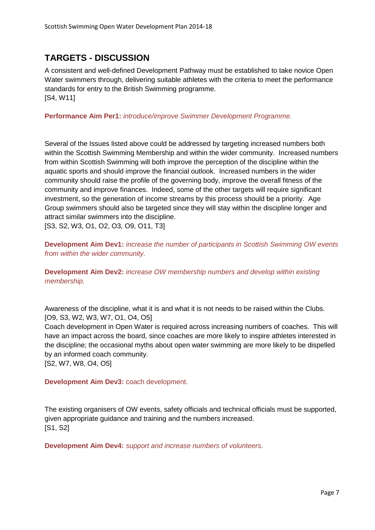## <span id="page-7-0"></span>**TARGETS - DISCUSSION**

A consistent and well-defined Development Pathway must be established to take novice Open Water swimmers through, delivering suitable athletes with the criteria to meet the performance standards for entry to the British Swimming programme. [S4, W11]

#### **Performance Aim Per1:** *introduce/improve Swimmer Development Programme.*

Several of the Issues listed above could be addressed by targeting increased numbers both within the Scottish Swimming Membership and within the wider community. Increased numbers from within Scottish Swimming will both improve the perception of the discipline within the aquatic sports and should improve the financial outlook. Increased numbers in the wider community should raise the profile of the governing body, improve the overall fitness of the community and improve finances. Indeed, some of the other targets will require significant investment, so the generation of income streams by this process should be a priority. Age Group swimmers should also be targeted since they will stay within the discipline longer and attract similar swimmers into the discipline.

[S3, S2, W3, O1, O2, O3, O9, O11, T3]

**Development Aim Dev1:** *increase the number of participants in Scottish Swimming OW events from within the wider community.*

**Development Aim Dev2:** *increase OW membership numbers and develop within existing membership.*

Awareness of the discipline, what it is and what it is not needs to be raised within the Clubs. [O9, S3, W2, W3, W7, O1, O4, O5]

Coach development in Open Water is required across increasing numbers of coaches. This will have an impact across the board, since coaches are more likely to inspire athletes interested in the discipline; the occasional myths about open water swimming are more likely to be dispelled by an informed coach community.

[S2, W7, W8, O4, O5]

**Development Aim Dev3:** coach development*.*

The existing organisers of OW events, safety officials and technical officials must be supported, given appropriate guidance and training and the numbers increased. [S1, S2]

**Development Aim Dev4:** *support and increase numbers of volunteers.*